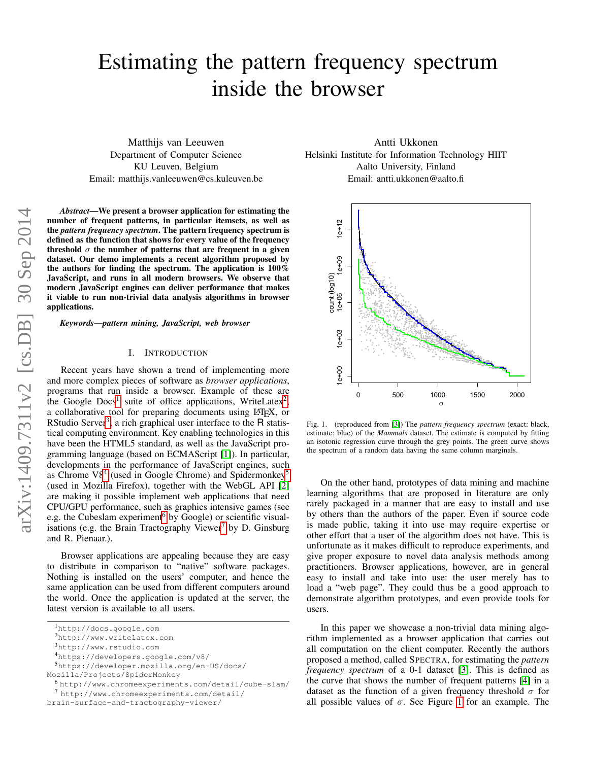# Estimating the pattern frequency spectrum inside the browser

Matthijs van Leeuwen Department of Computer Science KU Leuven, Belgium Email: matthijs.vanleeuwen@cs.kuleuven.be

*Abstract*—We present a browser application for estimating the number of frequent patterns, in particular itemsets, as well as the *pattern frequency spectrum*. The pattern frequency spectrum is defined as the function that shows for every value of the frequency threshold  $\sigma$  the number of patterns that are frequent in a given dataset. Our demo implements a recent algorithm proposed by the authors for finding the spectrum. The application is 100% JavaScript, and runs in all modern browsers. We observe that modern JavaScript engines can deliver performance that makes it viable to run non-trivial data analysis algorithms in browser applications.

*Keywords*—*pattern mining, JavaScript, web browser*

#### I. INTRODUCTION

Recent years have shown a trend of implementing more and more complex pieces of software as *browser applications*, programs that run inside a browser. Example of these are the Google  $Docs$ <sup>[1](#page-0-0)</sup> suite of office applications, WriteLatex<sup>[2](#page-0-1)</sup>, a collaborative tool for preparing documents using LATEX, or RStudio Server<sup>[3](#page-0-2)</sup>, a rich graphical user interface to the  $\overline{R}$  statistical computing environment. Key enabling technologies in this have been the HTML5 standard, as well as the JavaScript programming language (based on ECMAScript [\[1\]](#page-3-0)). In particular, developments in the performance of JavaScript engines, such as Chrome V8<sup>[4](#page-0-3)</sup> (used in Google Chrome) and Spidermonkey<sup>[5](#page-0-4)</sup> (used in Mozilla Firefox), together with the WebGL API [\[2\]](#page-3-1) are making it possible implement web applications that need CPU/GPU performance, such as graphics intensive games (see e.g. the Cubeslam experiment<sup>[6](#page-0-5)</sup> by Google) or scientific visual-isations (e.g. the Brain Tractography Viewer<sup>[7](#page-0-6)</sup> by D. Ginsburg and R. Pienaar.).

Browser applications are appealing because they are easy to distribute in comparison to "native" software packages. Nothing is installed on the users' computer, and hence the same application can be used from different computers around the world. Once the application is updated at the server, the latest version is available to all users.

<span id="page-0-3"></span><sup>4</sup>https://developers.google.com/v8/

Antti Ukkonen Helsinki Institute for Information Technology HIIT Aalto University, Finland Email: antti.ukkonen@aalto.fi



<span id="page-0-7"></span>Fig. 1. (reproduced from [\[3\]](#page-3-2)) The *pattern frequency spectrum* (exact: black, estimate: blue) of the *Mammals* dataset. The estimate is computed by fitting an isotonic regression curve through the grey points. The green curve shows the spectrum of a random data having the same column marginals.

On the other hand, prototypes of data mining and machine learning algorithms that are proposed in literature are only rarely packaged in a manner that are easy to install and use by others than the authors of the paper. Even if source code is made public, taking it into use may require expertise or other effort that a user of the algorithm does not have. This is unfortunate as it makes difficult to reproduce experiments, and give proper exposure to novel data analysis methods among practitioners. Browser applications, however, are in general easy to install and take into use: the user merely has to load a "web page". They could thus be a good approach to demonstrate algorithm prototypes, and even provide tools for users.

In this paper we showcase a non-trivial data mining algorithm implemented as a browser application that carries out all computation on the client computer. Recently the authors proposed a method, called SPECTRA, for estimating the *pattern frequency spectrum* of a 0-1 dataset [\[3\]](#page-3-2). This is defined as the curve that shows the number of frequent patterns [\[4\]](#page-3-3) in a dataset as the function of a given frequency threshold  $\sigma$  for all possible values of  $\sigma$ . See Figure [1](#page-0-7) for an example. The

<span id="page-0-0"></span><sup>1</sup>http://docs.google.com

<span id="page-0-1"></span><sup>2</sup>http://www.writelatex.com

<span id="page-0-2"></span><sup>3</sup>http://www.rstudio.com

<span id="page-0-4"></span><sup>5</sup>https://developer.mozilla.org/en-US/docs/

Mozilla/Projects/SpiderMonkey

<span id="page-0-5"></span><sup>6</sup> http://www.chromeexperiments.com/detail/cube-slam/

<span id="page-0-6"></span><sup>7</sup> http://www.chromeexperiments.com/detail/

brain-surface-and-tractography-viewer/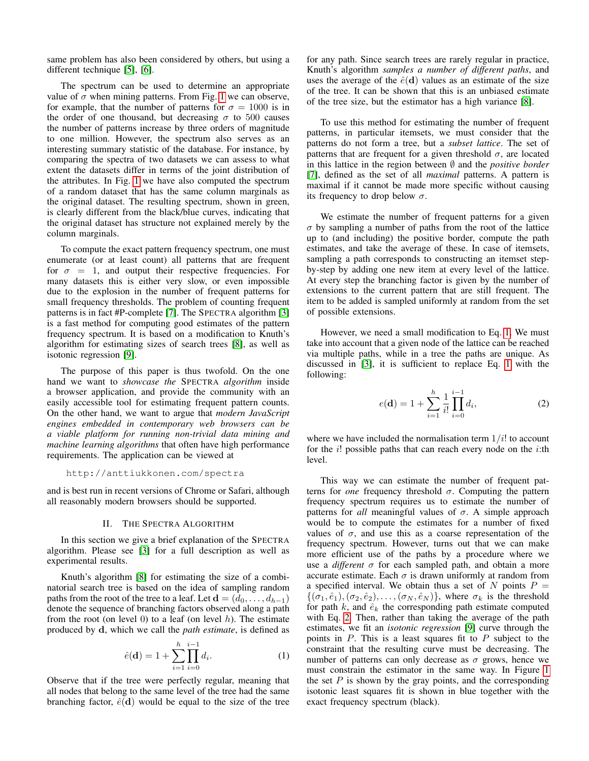same problem has also been considered by others, but using a different technique [\[5\]](#page-3-4), [\[6\]](#page-3-5).

The spectrum can be used to determine an appropriate value of  $\sigma$  when mining patterns. From Fig. [1](#page-0-7) we can observe, for example, that the number of patterns for  $\sigma = 1000$  is in the order of one thousand, but decreasing  $\sigma$  to 500 causes the number of patterns increase by three orders of magnitude to one million. However, the spectrum also serves as an interesting summary statistic of the database. For instance, by comparing the spectra of two datasets we can assess to what extent the datasets differ in terms of the joint distribution of the attributes. In Fig. [1](#page-0-7) we have also computed the spectrum of a random dataset that has the same column marginals as the original dataset. The resulting spectrum, shown in green, is clearly different from the black/blue curves, indicating that the original dataset has structure not explained merely by the column marginals.

To compute the exact pattern frequency spectrum, one must enumerate (or at least count) all patterns that are frequent for  $\sigma = 1$ , and output their respective frequencies. For many datasets this is either very slow, or even impossible due to the explosion in the number of frequent patterns for small frequency thresholds. The problem of counting frequent patterns is in fact #P-complete [\[7\]](#page-3-6). The SPECTRA algorithm [\[3\]](#page-3-2) is a fast method for computing good estimates of the pattern frequency spectrum. It is based on a modification to Knuth's algorithm for estimating sizes of search trees [\[8\]](#page-3-7), as well as isotonic regression [\[9\]](#page-3-8).

The purpose of this paper is thus twofold. On the one hand we want to *showcase the* SPECTRA *algorithm* inside a browser application, and provide the community with an easily accessible tool for estimating frequent pattern counts. On the other hand, we want to argue that *modern JavaScript engines embedded in contemporary web browsers can be a viable platform for running non-trivial data mining and machine learning algorithms* that often have high performance requirements. The application can be viewed at

#### http://anttiukkonen.com/spectra

and is best run in recent versions of Chrome or Safari, although all reasonably modern browsers should be supported.

## II. THE SPECTRA ALGORITHM

In this section we give a brief explanation of the SPECTRA algorithm. Please see [\[3\]](#page-3-2) for a full description as well as experimental results.

Knuth's algorithm [\[8\]](#page-3-7) for estimating the size of a combinatorial search tree is based on the idea of sampling random paths from the root of the tree to a leaf. Let  $\mathbf{d} = (d_0, \dots, d_{h-1})$ denote the sequence of branching factors observed along a path from the root (on level  $0$ ) to a leaf (on level  $h$ ). The estimate produced by d, which we call the *path estimate*, is defined as

<span id="page-1-0"></span>
$$
\hat{e}(\mathbf{d}) = 1 + \sum_{i=1}^{h} \prod_{i=0}^{i-1} d_i.
$$
 (1)

Observe that if the tree were perfectly regular, meaning that all nodes that belong to the same level of the tree had the same branching factor,  $\hat{e}(\mathbf{d})$  would be equal to the size of the tree for any path. Since search trees are rarely regular in practice, Knuth's algorithm *samples a number of different paths*, and uses the average of the  $\hat{e}(\mathbf{d})$  values as an estimate of the size of the tree. It can be shown that this is an unbiased estimate of the tree size, but the estimator has a high variance [\[8\]](#page-3-7).

To use this method for estimating the number of frequent patterns, in particular itemsets, we must consider that the patterns do not form a tree, but a *subset lattice*. The set of patterns that are frequent for a given threshold  $\sigma$ , are located in this lattice in the region between ∅ and the *positive border* [\[7\]](#page-3-6), defined as the set of all *maximal* patterns. A pattern is maximal if it cannot be made more specific without causing its frequency to drop below  $\sigma$ .

We estimate the number of frequent patterns for a given  $\sigma$  by sampling a number of paths from the root of the lattice up to (and including) the positive border, compute the path estimates, and take the average of these. In case of itemsets, sampling a path corresponds to constructing an itemset stepby-step by adding one new item at every level of the lattice. At every step the branching factor is given by the number of extensions to the current pattern that are still frequent. The item to be added is sampled uniformly at random from the set of possible extensions.

However, we need a small modification to Eq. [1.](#page-1-0) We must take into account that a given node of the lattice can be reached via multiple paths, while in a tree the paths are unique. As discussed in [\[3\]](#page-3-2), it is sufficient to replace Eq. [1](#page-1-0) with the following:

<span id="page-1-1"></span>
$$
e(\mathbf{d}) = 1 + \sum_{i=1}^{h} \frac{1}{i!} \prod_{i=0}^{i-1} d_i,
$$
 (2)

where we have included the normalisation term  $1/i!$  to account for the  $i!$  possible paths that can reach every node on the  $i$ :th level.

This way we can estimate the number of frequent patterns for *one* frequency threshold  $\sigma$ . Computing the pattern frequency spectrum requires us to estimate the number of patterns for *all* meaningful values of  $\sigma$ . A simple approach would be to compute the estimates for a number of fixed values of  $\sigma$ , and use this as a coarse representation of the frequency spectrum. However, turns out that we can make more efficient use of the paths by a procedure where we use a *different*  $\sigma$  for each sampled path, and obtain a more accurate estimate. Each  $\sigma$  is drawn uniformly at random from a specified interval. We obtain thus a set of N points  $P =$  $\{(\sigma_1, \hat{e}_1),(\sigma_2, \hat{e}_2),\ldots,(\sigma_N, \hat{e}_N)\}\$ , where  $\sigma_k$  is the threshold for path  $k$ , and  $\hat{e}_k$  the corresponding path estimate computed with Eq. [2.](#page-1-1) Then, rather than taking the average of the path estimates, we fit an *isotonic regression* [\[9\]](#page-3-8) curve through the points in  $P$ . This is a least squares fit to  $P$  subject to the constraint that the resulting curve must be decreasing. The number of patterns can only decrease as  $\sigma$  grows, hence we must constrain the estimator in the same way. In Figure [1](#page-0-7) the set  $P$  is shown by the gray points, and the corresponding isotonic least squares fit is shown in blue together with the exact frequency spectrum (black).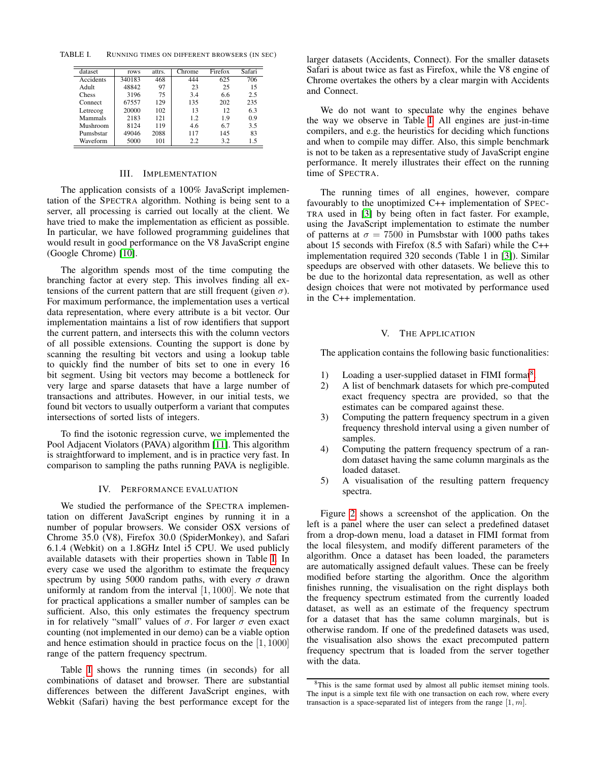TABLE I. RUNNING TIMES ON DIFFERENT BROWSERS (IN SEC)

<span id="page-2-0"></span>

| dataset   | rows   | attrs. | Chrome | Firefox | Safari |
|-----------|--------|--------|--------|---------|--------|
| Accidents | 340183 | 468    | 444    | 625     | 706    |
| Adult     | 48842  | 97     | 23     | 25      | 15     |
| Chess     | 3196   | 75     | 3.4    | 6.6     | 2.5    |
| Connect   | 67557  | 129    | 135    | 202     | 235    |
| Letrecog  | 20000  | 102    | 13     | 12.     | 6.3    |
| Mammals   | 2183   | 121    | 1.2    | 1.9     | 0.9    |
| Mushroom  | 8124   | 119    | 4.6    | 6.7     | 3.5    |
| Pumsbstar | 49046  | 2088   | 117    | 145     | 83     |
| Waveform  | 5000   | 101    | 2.2    | 3.2     | 1.5    |

# III. IMPLEMENTATION

The application consists of a 100% JavaScript implementation of the SPECTRA algorithm. Nothing is being sent to a server, all processing is carried out locally at the client. We have tried to make the implementation as efficient as possible. In particular, we have followed programming guidelines that would result in good performance on the V8 JavaScript engine (Google Chrome) [\[10\]](#page-3-9).

The algorithm spends most of the time computing the branching factor at every step. This involves finding all extensions of the current pattern that are still frequent (given  $\sigma$ ). For maximum performance, the implementation uses a vertical data representation, where every attribute is a bit vector. Our implementation maintains a list of row identifiers that support the current pattern, and intersects this with the column vectors of all possible extensions. Counting the support is done by scanning the resulting bit vectors and using a lookup table to quickly find the number of bits set to one in every 16 bit segment. Using bit vectors may become a bottleneck for very large and sparse datasets that have a large number of transactions and attributes. However, in our initial tests, we found bit vectors to usually outperform a variant that computes intersections of sorted lists of integers.

To find the isotonic regression curve, we implemented the Pool Adjacent Violators (PAVA) algorithm [\[11\]](#page-3-10). This algorithm is straightforward to implement, and is in practice very fast. In comparison to sampling the paths running PAVA is negligible.

## IV. PERFORMANCE EVALUATION

We studied the performance of the SPECTRA implementation on different JavaScript engines by running it in a number of popular browsers. We consider OSX versions of Chrome 35.0 (V8), Firefox 30.0 (SpiderMonkey), and Safari 6.1.4 (Webkit) on a 1.8GHz Intel i5 CPU. We used publicly available datasets with their properties shown in Table [I.](#page-2-0) In every case we used the algorithm to estimate the frequency spectrum by using 5000 random paths, with every  $\sigma$  drawn uniformly at random from the interval  $[1, 1000]$ . We note that for practical applications a smaller number of samples can be sufficient. Also, this only estimates the frequency spectrum in for relatively "small" values of  $\sigma$ . For larger  $\sigma$  even exact counting (not implemented in our demo) can be a viable option and hence estimation should in practice focus on the [1, 1000] range of the pattern frequency spectrum.

Table [I](#page-2-0) shows the running times (in seconds) for all combinations of dataset and browser. There are substantial differences between the different JavaScript engines, with Webkit (Safari) having the best performance except for the larger datasets (Accidents, Connect). For the smaller datasets Safari is about twice as fast as Firefox, while the V8 engine of Chrome overtakes the others by a clear margin with Accidents and Connect.

We do not want to speculate why the engines behave the way we observe in Table [I.](#page-2-0) All engines are just-in-time compilers, and e.g. the heuristics for deciding which functions and when to compile may differ. Also, this simple benchmark is not to be taken as a representative study of JavaScript engine performance. It merely illustrates their effect on the running time of SPECTRA.

The running times of all engines, however, compare favourably to the unoptimized C++ implementation of SPEC-TRA used in [\[3\]](#page-3-2) by being often in fact faster. For example, using the JavaScript implementation to estimate the number of patterns at  $\sigma = 7500$  in Pumsbstar with 1000 paths takes about 15 seconds with Firefox (8.5 with Safari) while the C++ implementation required 320 seconds (Table 1 in [\[3\]](#page-3-2)). Similar speedups are observed with other datasets. We believe this to be due to the horizontal data representation, as well as other design choices that were not motivated by performance used in the C++ implementation.

# V. THE APPLICATION

The application contains the following basic functionalities:

- 1) Loading a user-supplied dataset in FIMI format<sup>[8](#page-2-1)</sup>.
- 2) A list of benchmark datasets for which pre-computed exact frequency spectra are provided, so that the estimates can be compared against these.
- 3) Computing the pattern frequency spectrum in a given frequency threshold interval using a given number of samples.
- 4) Computing the pattern frequency spectrum of a random dataset having the same column marginals as the loaded dataset.
- 5) A visualisation of the resulting pattern frequency spectra.

Figure [2](#page-3-11) shows a screenshot of the application. On the left is a panel where the user can select a predefined dataset from a drop-down menu, load a dataset in FIMI format from the local filesystem, and modify different parameters of the algorithm. Once a dataset has been loaded, the parameters are automatically assigned default values. These can be freely modified before starting the algorithm. Once the algorithm finishes running, the visualisation on the right displays both the frequency spectrum estimated from the currently loaded dataset, as well as an estimate of the frequency spectrum for a dataset that has the same column marginals, but is otherwise random. If one of the predefined datasets was used, the visualisation also shows the exact precomputed pattern frequency spectrum that is loaded from the server together with the data.

<span id="page-2-1"></span><sup>&</sup>lt;sup>8</sup>This is the same format used by almost all public itemset mining tools. The input is a simple text file with one transaction on each row, where every transaction is a space-separated list of integers from the range  $[1, m]$ .